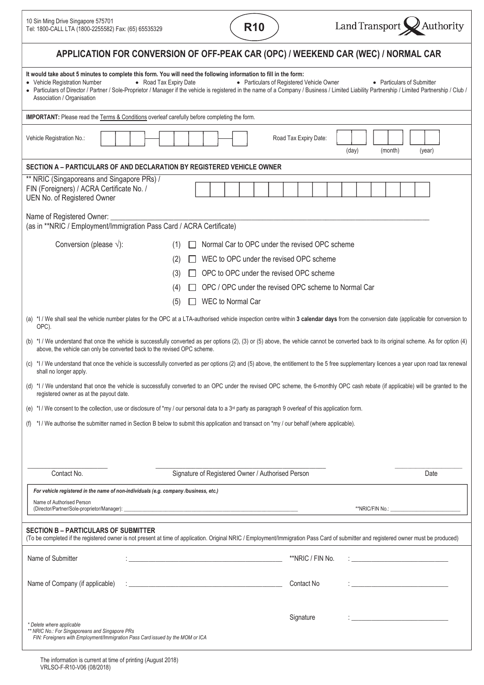| 10 Sin Ming Drive Singapore 575701                   |  |
|------------------------------------------------------|--|
| Tel: 1800-CALL LTA (1800-2255582) Fax: (65) 65535329 |  |





| APPLICATION FOR CONVERSION OF OFF-PEAK CAR (OPC) / WEEKEND CAR (WEC) / NORMAL CAR                                                                                                                                                                                                                                                                                                                                                                                                        |  |
|------------------------------------------------------------------------------------------------------------------------------------------------------------------------------------------------------------------------------------------------------------------------------------------------------------------------------------------------------------------------------------------------------------------------------------------------------------------------------------------|--|
| It would take about 5 minutes to complete this form. You will need the following information to fill in the form:<br>• Vehicle Registration Number<br>• Road Tax Expiry Date<br>• Particulars of Registered Vehicle Owner<br>• Particulars of Submitter<br>• Particulars of Director / Partner / Sole-Proprietor / Manager if the vehicle is registered in the name of a Company / Business / Limited Liability Partnership / Limited Partnership / Club /<br>Association / Organisation |  |
| IMPORTANT: Please read the Terms & Conditions overleaf carefully before completing the form.                                                                                                                                                                                                                                                                                                                                                                                             |  |
| Vehicle Registration No.:<br>Road Tax Expiry Date:<br>(day)<br>(month)<br>(year)                                                                                                                                                                                                                                                                                                                                                                                                         |  |
| SECTION A - PARTICULARS OF AND DECLARATION BY REGISTERED VEHICLE OWNER                                                                                                                                                                                                                                                                                                                                                                                                                   |  |
| ** NRIC (Singaporeans and Singapore PRs) /<br>FIN (Foreigners) / ACRA Certificate No. /<br>UEN No. of Registered Owner                                                                                                                                                                                                                                                                                                                                                                   |  |
| Name of Registered Owner:<br>(as in **NRIC / Employment/Immigration Pass Card / ACRA Certificate)                                                                                                                                                                                                                                                                                                                                                                                        |  |
| Conversion (please $\sqrt{ }$ ):<br>Normal Car to OPC under the revised OPC scheme<br>(1)                                                                                                                                                                                                                                                                                                                                                                                                |  |
| WEC to OPC under the revised OPC scheme<br>(2)                                                                                                                                                                                                                                                                                                                                                                                                                                           |  |
| OPC to OPC under the revised OPC scheme<br>(3)                                                                                                                                                                                                                                                                                                                                                                                                                                           |  |
| OPC / OPC under the revised OPC scheme to Normal Car<br>(4)                                                                                                                                                                                                                                                                                                                                                                                                                              |  |
| WEC to Normal Car<br>(5)                                                                                                                                                                                                                                                                                                                                                                                                                                                                 |  |
| (a) *1 / We shall seal the vehicle number plates for the OPC at a LTA-authorised vehicle inspection centre within 3 calendar days from the conversion date (applicable for conversion to<br>OPC).                                                                                                                                                                                                                                                                                        |  |
| (b) *1 / We understand that once the vehicle is successfully converted as per options (2), (3) or (5) above, the vehicle cannot be converted back to its original scheme. As for option (4)<br>above, the vehicle can only be converted back to the revised OPC scheme.                                                                                                                                                                                                                  |  |
| (c) *1 / We understand that once the vehicle is successfully converted as per options (2) and (5) above, the entitlement to the 5 free supplementary licences a year upon road tax renewal<br>shall no longer apply.                                                                                                                                                                                                                                                                     |  |
| (d) *1 / We understand that once the vehicle is successfully converted to an OPC under the revised OPC scheme, the 6-monthly OPC cash rebate (if applicable) will be granted to the<br>registered owner as at the payout date.                                                                                                                                                                                                                                                           |  |
| (e) *I / We consent to the collection, use or disclosure of *my / our personal data to a 3 <sup>rd</sup> party as paragraph 9 overleaf of this application form.                                                                                                                                                                                                                                                                                                                         |  |
| *I / We authorise the submitter named in Section B below to submit this application and transact on *my / our behalf (where applicable).                                                                                                                                                                                                                                                                                                                                                 |  |
|                                                                                                                                                                                                                                                                                                                                                                                                                                                                                          |  |
|                                                                                                                                                                                                                                                                                                                                                                                                                                                                                          |  |
| Signature of Registered Owner / Authorised Person<br>Contact No.<br>Date                                                                                                                                                                                                                                                                                                                                                                                                                 |  |
| For vehicle registered in the name of non-individuals (e.g. company /business, etc.)                                                                                                                                                                                                                                                                                                                                                                                                     |  |
| Name of Authorised Person<br>(Director/Partner/Sole-proprietor/Manager):<br>**NRIC/FIN No.: _                                                                                                                                                                                                                                                                                                                                                                                            |  |
| <b>SECTION B - PARTICULARS OF SUBMITTER</b><br>(To be completed if the registered owner is not present at time of application. Original NRIC / Employment/Immigration Pass Card of submitter and registered owner must be produced)                                                                                                                                                                                                                                                      |  |
|                                                                                                                                                                                                                                                                                                                                                                                                                                                                                          |  |
| Name of Submitter<br>**NRIC / FIN No.<br><u> 1980 - Johann John Hermann, marwolaeth a bhaile an t-Alban Alban Alban Alban Alban Alban Alban Alban Alban Alb</u>                                                                                                                                                                                                                                                                                                                          |  |
| Name of Company (if applicable)<br><u> 1989 - Johann John Harry Harry Harry Harry Harry Harry Harry Harry Harry Harry Harry Harry Harry Harry Harry H</u><br>Contact No                                                                                                                                                                                                                                                                                                                  |  |
| Signature<br>* Delete where applicable<br>** NRIC No.: For Singaporeans and Singapore PRs<br>FIN: Foreigners with Employment/Immigration Pass Card issued by the MOM or ICA                                                                                                                                                                                                                                                                                                              |  |
|                                                                                                                                                                                                                                                                                                                                                                                                                                                                                          |  |